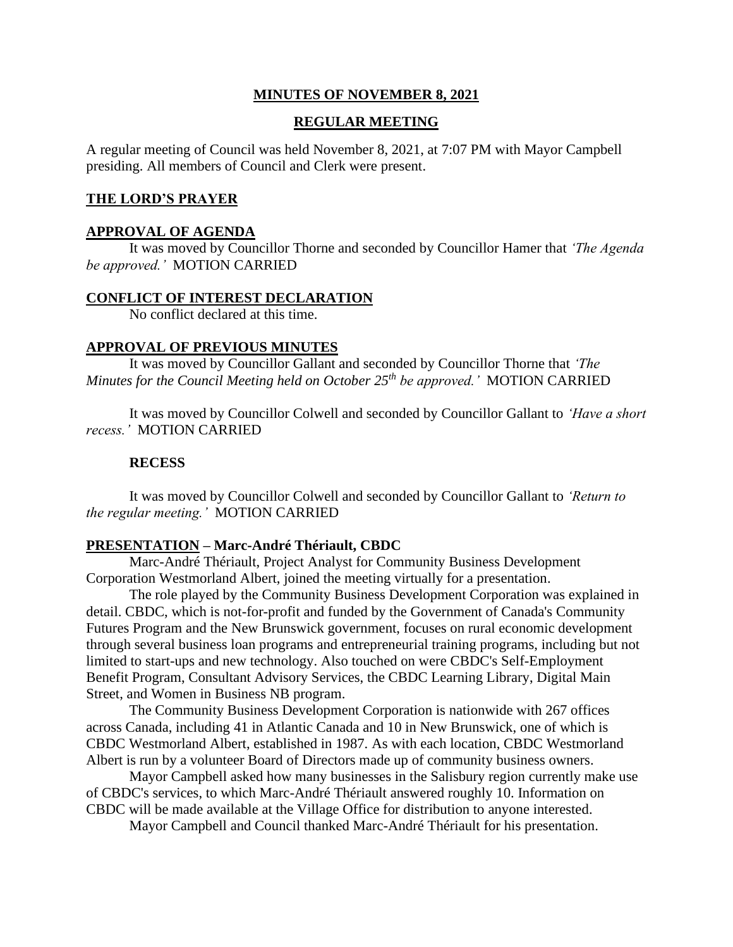## **MINUTES OF NOVEMBER 8, 2021**

## **REGULAR MEETING**

A regular meeting of Council was held November 8, 2021, at 7:07 PM with Mayor Campbell presiding. All members of Council and Clerk were present.

## **THE LORD'S PRAYER**

#### **APPROVAL OF AGENDA**

It was moved by Councillor Thorne and seconded by Councillor Hamer that *'The Agenda be approved.'* MOTION CARRIED

#### **CONFLICT OF INTEREST DECLARATION**

No conflict declared at this time.

## **APPROVAL OF PREVIOUS MINUTES**

It was moved by Councillor Gallant and seconded by Councillor Thorne that *'The Minutes for the Council Meeting held on October 25 th be approved.'* MOTION CARRIED

It was moved by Councillor Colwell and seconded by Councillor Gallant to *'Have a short recess.'* MOTION CARRIED

#### **RECESS**

It was moved by Councillor Colwell and seconded by Councillor Gallant to *'Return to the regular meeting.'* MOTION CARRIED

#### **PRESENTATION – Marc-André Thériault, CBDC**

Marc-André Thériault, Project Analyst for Community Business Development Corporation Westmorland Albert, joined the meeting virtually for a presentation.

The role played by the Community Business Development Corporation was explained in detail. CBDC, which is not-for-profit and funded by the Government of Canada's Community Futures Program and the New Brunswick government, focuses on rural economic development through several business loan programs and entrepreneurial training programs, including but not limited to start-ups and new technology. Also touched on were CBDC's Self-Employment Benefit Program, Consultant Advisory Services, the CBDC Learning Library, Digital Main Street, and Women in Business NB program.

The Community Business Development Corporation is nationwide with 267 offices across Canada, including 41 in Atlantic Canada and 10 in New Brunswick, one of which is CBDC Westmorland Albert, established in 1987. As with each location, CBDC Westmorland Albert is run by a volunteer Board of Directors made up of community business owners.

Mayor Campbell asked how many businesses in the Salisbury region currently make use of CBDC's services, to which Marc-André Thériault answered roughly 10. Information on CBDC will be made available at the Village Office for distribution to anyone interested.

Mayor Campbell and Council thanked Marc-André Thériault for his presentation.